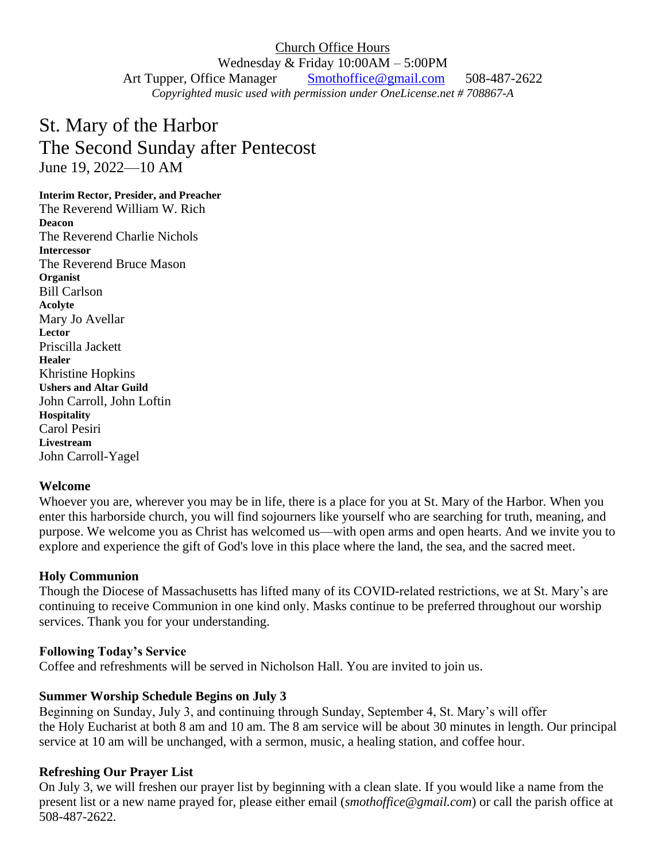Church Office Hours Wednesday & Friday 10:00AM – 5:00PM Art Tupper, Office Manager Smothoffice@gmail.com 508-487-2622 *Copyrighted music used with permission under OneLicense.net # 708867-A*

# St. Mary of the Harbor The Second Sunday after Pentecost June 19, 2022—10 AM

#### **Interim Rector, Presider, and Preacher**

The Reverend William W. Rich **Deacon** The Reverend Charlie Nichols **Intercessor** The Reverend Bruce Mason **Organist** Bill Carlson **Acolyte** Mary Jo Avellar **Lector** Priscilla Jackett **Healer** Khristine Hopkins **Ushers and Altar Guild** John Carroll, John Loftin **Hospitality** Carol Pesiri **Livestream**  John Carroll-Yagel

#### **Welcome**

Whoever you are, wherever you may be in life, there is a place for you at St. Mary of the Harbor. When you enter this harborside church, you will find sojourners like yourself who are searching for truth, meaning, and purpose. We welcome you as Christ has welcomed us—with open arms and open hearts. And we invite you to explore and experience the gift of God's love in this place where the land, the sea, and the sacred meet.

#### **Holy Communion**

Though the Diocese of Massachusetts has lifted many of its COVID-related restrictions, we at St. Mary's are continuing to receive Communion in one kind only. Masks continue to be preferred throughout our worship services. Thank you for your understanding.

#### **Following Today's Service**

Coffee and refreshments will be served in Nicholson Hall. You are invited to join us.

#### **Summer Worship Schedule Begins on July 3**

Beginning on Sunday, July 3, and continuing through Sunday, September 4, St. Mary's will offer the Holy Eucharist at both 8 am and 10 am. The 8 am service will be about 30 minutes in length. Our principal service at 10 am will be unchanged, with a sermon, music, a healing station, and coffee hour.

#### **Refreshing Our Prayer List**

On July 3, we will freshen our prayer list by beginning with a clean slate. If you would like a name from the present list or a new name prayed for, please either email (*smothoffice@gmail.com*) or call the parish office at 508-487-2622.